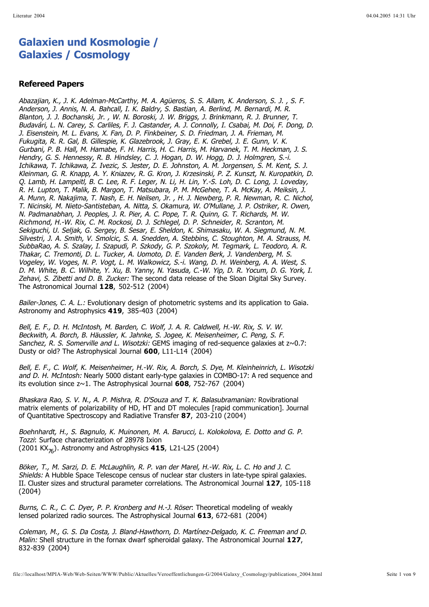## **Galaxien und Kosmologie / Galaxies / Cosmology**

## **Refereed Papers**

Zehavi, S. Zibetti and D. B. Zucker: The second data release of the Sloan Digital Sky Survey. The Astronomical Journal **128**, 502-512 (2004) Abazajian, K., J. K. Adelman-McCarthy, M. A. Agüeros, S. S. Allam, K. Anderson, S. J. , S. F. Anderson, J. Annis, N. A. Bahcall, I. K. Baldry, S. Bastian, A. Berlind, M. Bernardi, M. R. Blanton, J. J. Bochanski, Jr. , W. N. Boroski, J. W. Briggs, J. Brinkmann, R. J. Brunner, T. Budavári, L. N. Carey, S. Carliles, F. J. Castander, A. J. Connolly, I. Csabai, M. Doi, F. Dong, D. J. Eisenstein, M. L. Evans, X. Fan, D. P. Finkbeiner, S. D. Friedman, J. A. Frieman, M. Fukugita, R. R. Gal, B. Gillespie, K. Glazebrook, J. Gray, E. K. Grebel, J. E. Gunn, V. K. Gurbani, P. B. Hall, M. Hamabe, F. H. Harris, H. C. Harris, M. Harvanek, T. M. Heckman, J. S. Hendry, G. S. Hennessy, R. B. Hindsley, C. J. Hogan, D. W. Hogg, D. J. Holmgren, S.-i. Ichikawa, T. Ichikawa, Z. Ivezic, S. Jester, D. E. Johnston, A. M. Jorgensen, S. M. Kent, S. J. Kleinman, G. R. Knapp, A. Y. Kniazev, R. G. Kron, J. Krzesinski, P. Z. Kunszt, N. Kuropatkin, D. Q. Lamb, H. Lampeitl, B. C. Lee, R. F. Leger, N. Li, H. Lin, Y.-S. Loh, D. C. Long, J. Loveday, R. H. Lupton, T. Malik, B. Margon, T. Matsubara, P. M. McGehee, T. A. McKay, A. Meiksin, J. A. Munn, R. Nakajima, T. Nash, E. H. Neilsen, Jr. , H. J. Newberg, P. R. Newman, R. C. Nichol, T. Nicinski, M. Nieto-Santisteban, A. Nitta, S. Okamura, W. O'Mullane, J. P. Ostriker, R. Owen, N. Padmanabhan, J. Peoples, J. R. Pier, A. C. Pope, T. R. Quinn, G. T. Richards, M. W. Richmond, H.-W. Rix, C. M. Rockosi, D. J. Schlegel, D. P. Schneider, R. Scranton, M. Sekiguchi, U. Seljak, G. Sergey, B. Sesar, E. Sheldon, K. Shimasaku, W. A. Siegmund, N. M. Silvestri, J. A. Smith, V. Smolcic, S. A. Snedden, A. Stebbins, C. Stoughton, M. A. Strauss, M. SubbaRao, A. S. Szalay, I. Szapudi, P. Szkody, G. P. Szokoly, M. Tegmark, L. Teodoro, A. R. Thakar, C. Tremonti, D. L. Tucker, A. Uomoto, D. E. Vanden Berk, J. Vandenberg, M. S. Vogeley, W. Voges, N. P. Vogt, L. M. Walkowicz, S.-i. Wang, D. H. Weinberg, A. A. West, S. D. M. White, B. C. Wilhite, Y. Xu, B. Yanny, N. Yasuda, C.-W. Yip, D. R. Yocum, D. G. York, I.

Bailer-Jones, C. A. L.: Evolutionary design of photometric systems and its application to Gaia. Astronomy and Astrophysics **419**, 385-403 (2004)

Sanchez, R. S. Somerville and L. Wisotzki: GEMS imaging of red-sequence galaxies at  $z \sim 0.7$ : Dusty or old? The Astrophysical Journal 600, L11-L14 (2004) Bell, E. F., D. H. McIntosh, M. Barden, C. Wolf, J. A. R. Caldwell, H.-W. Rix, S. V. W. Beckwith, A. Borch, B. Häussler, K. Jahnke, S. Jogee, K. Meisenheimer, C. Peng, S. F.

and D. H. McIntosh: Nearly 5000 distant early-type galaxies in COMBO-17: A red sequence and its evolution since z~1. The Astrophysical Journal 608, 752-767 (2004) Bell, E. F., C. Wolf, K. Meisenheimer, H.-W. Rix, A. Borch, S. Dye, M. Kleinheinrich, L. Wisotzki

Bhaskara Rao, S. V. N., A. P. Mishra, R. D'Souza and T. K. Balasubramanian: Rovibrational matrix elements of polarizability of HD, HT and DT molecules [rapid communication]. Journal of Quantitative Spectroscopy and Radiative Transfer 87, 203-210 (2004)

Tozzi: Surface characterization of 28978 Ixion (2001 KX<sub>76</sub>). Astronomy and Astrophysics **415**, L21-L25 (2004) Boehnhardt, H., S. Bagnulo, K. Muinonen, M. A. Barucci, L. Kolokolova, E. Dotto and G. P.

Shields: A Hubble Space Telescope census of nuclear star clusters in late-type spiral galaxies. II. Cluster sizes and structural parameter correlations. The Astronomical Journal 127, 105-118 (2004) Böker, T., M. Sarzi, D. E. McLaughlin, R. P. van der Marel, H.-W. Rix, L. C. Ho and J. C.

Burns, C. R., C. C. Dyer, P. P. Kronberg and H.-J. Röser: Theoretical modeling of weakly lensed polarized radio sources. The Astrophysical Journal **613**, 672-681 (2004)

Malin: Shell structure in the fornax dwarf spheroidal galaxy. The Astronomical Journal 127, 832-839 (2004) Coleman, M., G. S. Da Costa, J. Bland-Hawthorn, D. Martínez-Delgado, K. C. Freeman and D.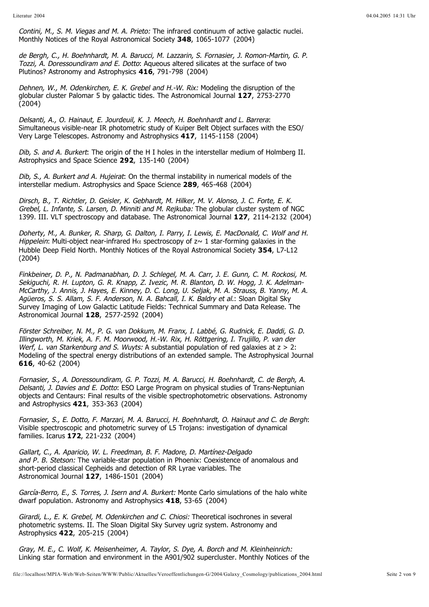Contini, M., S. M. Viegas and M. A. Prieto: The infrared continuum of active galactic nuclei. Monthly Notices of the Royal Astronomical Society 348, 1065-1077 (2004)

Tozzi, A. Doressoundiram and E. Dotto: Aqueous altered silicates at the surface of two Plutinos? Astronomy and Astrophysics 416, 791-798 (2004) de Bergh, C., H. Boehnhardt, M. A. Barucci, M. Lazzarin, S. Fornasier, J. Romon-Martin, G. P.

Dehnen, W., M. Odenkirchen, E. K. Grebel and H.-W. Rix: Modeling the disruption of the globular cluster Palomar 5 by galactic tides. The Astronomical Journal 127, 2753-2770 (2004)

: Delsanti, A., O. Hainaut, E. Jourdeuil, K. J. Meech, H. Boehnhardt and L. Barrera Simultaneous visible-near IR photometric study of Kuiper Belt Object surfaces with the ESO/ Very Large Telescopes. Astronomy and Astrophysics 417, 1145-1158 (2004)

Dib, S. and A. Burkert: The origin of the H I holes in the interstellar medium of Holmberg II. Astrophysics and Space Science 292, 135-140 (2004)

Dib, S., A. Burkert and A. Hujeirat: On the thermal instability in numerical models of the interstellar medium. Astrophysics and Space Science 289, 465-468 (2004)

Grebel, L. Infante, S. Larsen, D. Minniti and M. Rejkuba: The globular cluster system of NGC 1399. III. VLT spectroscopy and database. The Astronomical Journal 127, 2114-2132 (2004) Dirsch, B., T. Richtler, D. Geisler, K. Gebhardt, M. Hilker, M. V. Alonso, J. C. Forte, E. K.

Hippelein: Multi-object near-infrared H $\alpha$  spectroscopy of z $\sim$  1 star-forming galaxies in the Hubble Deep Field North. Monthly Notices of the Royal Astronomical Society 354, L7-L12 (2004) Doherty, M., A. Bunker, R. Sharp, G. Dalton, I. Parry, I. Lewis, E. MacDonald, C. Wolf and H.

Agüeros, S. S. Allam, S. F. Anderson, N. A. Bahcall, I. K. Baldry et al.: Sloan Digital Sky Survey Imaging of Low Galactic Latitude Fields: Technical Summary and Data Release. The Astronomical Journal , 2577-2592 (2004) **128** Finkbeiner, D. P., N. Padmanabhan, D. J. Schlegel, M. A. Carr, J. E. Gunn, C. M. Rockosi, M. Sekiguchi, R. H. Lupton, G. R. Knapp, Z. Ivezic, M. R. Blanton, D. W. Hogg, J. K. Adelman-McCarthy, J. Annis, J. Hayes, E. Kinney, D. C. Long, U. Seljak, M. A. Strauss, B. Yanny, M. A.

Werf, L. van Starkenburg and S. Wuyts: A substantial population of red galaxies at  $z > 2$ : Modeling of the spectral energy distributions of an extended sample. The Astrophysical Journal , 40-62 (2004) **616** Förster Schreiber, N. M., P. G. van Dokkum, M. Franx, I. Labbé, G. Rudnick, E. Daddi, G. D. Illingworth, M. Kriek, A. F. M. Moorwood, H.-W. Rix, H. Röttgering, I. Trujillo, P. van der

Delsanti, J. Davies and E. Dotto: ESO Large Program on physical studies of Trans-Neptunian objects and Centaurs: Final results of the visible spectrophotometric observations. Astronomy and Astrophysics **421**, 353-363 (2004) Fornasier, S., A. Doressoundiram, G. P. Tozzi, M. A. Barucci, H. Boehnhardt, C. de Bergh, A.

: Fornasier, S., E. Dotto, F. Marzari, M. A. Barucci, H. Boehnhardt, O. Hainaut and C. de Bergh Visible spectroscopic and photometric survey of L5 Trojans: investigation of dynamical families. Icarus **172**, 221-232 (2004)

and P. B. Stetson: The variable-star population in Phoenix: Coexistence of anomalous and short-period classical Cepheids and detection of RR Lyrae variables. The Astronomical Journal 127, 1486-1501 (2004) Gallart, C., A. Aparicio, W. L. Freedman, B. F. Madore, D. Martínez-Delgado

García-Berro, E., S. Torres, J. Isern and A. Burkert: Monte Carlo simulations of the halo white dwarf population. Astronomy and Astrophysics 418, 53-65 (2004)

Girardi, L., E. K. Grebel, M. Odenkirchen and C. Chiosi: Theoretical isochrones in several photometric systems. II. The Sloan Digital Sky Survey ugriz system. Astronomy and Astrophysics 422, 205-215 (2004)

Linking star formation and environment in the A901/902 supercluster. Monthly Notices of the Gray, M. E., C. Wolf, K. Meisenheimer, A. Taylor, S. Dye, A. Borch and M. Kleinheinrich: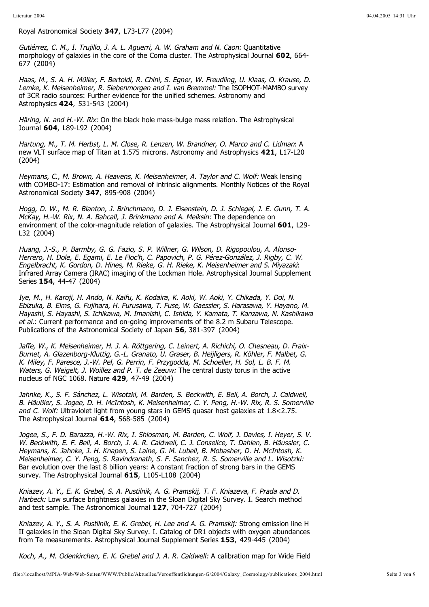Royal Astronomical Society 347, L73-L77 (2004)

Gutiérrez, C. M., I. Trujillo, J. A. L. Aguerri, A. W. Graham and N. Caon: Quantitative morphology of galaxies in the core of the Coma cluster. The Astrophysical Journal **602**, 664-677 (2004)

Lemke, K. Meisenheimer, R. Siebenmorgen and I. van Bremmel: The ISOPHOT-MAMBO survey of 3CR radio sources: Further evidence for the unified schemes. Astronomy and Astrophysics 424, 531-543 (2004) Haas, M., S. A. H. Müller, F. Bertoldi, R. Chini, S. Egner, W. Freudling, U. Klaas, O. Krause, D.

Häring, N. and H.-W. Rix: On the black hole mass-bulge mass relation. The Astrophysical Journal **604**, L89-L92 (2004)

Hartung, M., T. M. Herbst, L. M. Close, R. Lenzen, W. Brandner, O. Marco and C. Lidman: A new VLT surface map of Titan at 1.575 microns. Astronomy and Astrophysics 421, L17-L20 (2004)

Heymans, C., M. Brown, A. Heavens, K. Meisenheimer, A. Taylor and C. Wolf: Weak lensing with COMBO-17: Estimation and removal of intrinsic alignments. Monthly Notices of the Royal Astronomical Society , 895-908 (2004) **347**

McKay, H.-W. Rix, N. A. Bahcall, J. Brinkmann and A. Meiksin: The dependence on environment of the color-magnitude relation of galaxies. The Astrophysical Journal 601, L29-L32 (2004) Hogg, D. W., M. R. Blanton, J. Brinchmann, D. J. Eisenstein, D. J. Schlegel, J. E. Gunn, T. A.

: Engelbracht, K. Gordon, D. Hines, M. Rieke, G. H. Rieke, K. Meisenheimer and S. Miyazaki Infrared Array Camera (IRAC) imaging of the Lockman Hole. Astrophysical Journal Supplement Series **154**, 44-47 (2004) Huang, J.-S., P. Barmby, G. G. Fazio, S. P. Willner, G. Wilson, D. Rigopoulou, A. Alonso-Herrero, H. Dole, E. Egami, E. Le Floc'h, C. Papovich, P. G. Pérez-González, J. Rigby, C. W.

et al.: Current performance and on-going improvements of the 8.2 m Subaru Telescope. Publications of the Astronomical Society of Japan 56, 381-397 (2004) Iye, M., H. Karoji, H. Ando, N. Kaifu, K. Kodaira, K. Aoki, W. Aoki, Y. Chikada, Y. Doi, N. Ebizuka, B. Elms, G. Fujihara, H. Furusawa, T. Fuse, W. Gaessler, S. Harasawa, Y. Hayano, M. Hayashi, S. Hayashi, S. Ichikawa, M. Imanishi, C. Ishida, Y. Kamata, T. Kanzawa, N. Kashikawa

Waters, G. Weigelt, J. Woillez and P. T. de Zeeuw: The central dusty torus in the active nucleus of NGC 1068. Nature **429**, 47-49 (2004) Jaffe, W., K. Meisenheimer, H. J. A. Röttgering, C. Leinert, A. Richichi, O. Chesneau, D. Fraix-Burnet, A. Glazenborg-Kluttig, G.-L. Granato, U. Graser, B. Heijligers, R. Köhler, F. Malbet, G. K. Miley, F. Paresce, J.-W. Pel, G. Perrin, F. Przygodda, M. Schoeller, H. Sol, L. B. F. M.

and C. Wolf: Ultraviolet light from young stars in GEMS quasar host galaxies at 1.8<2.75. The Astrophysical Journal **614**, 568-585 (2004) Jahnke, K., S. F. Sánchez, L. Wisotzki, M. Barden, S. Beckwith, E. Bell, A. Borch, J. Caldwell, B. Häußler, S. Jogee, D. H. McIntosh, K. Meisenheimer, C. Y. Peng, H.-W. Rix, R. S. Somerville

Bar evolution over the last 8 billion years: A constant fraction of strong bars in the GEMS survey. The Astrophysical Journal 615, L105-L108 (2004) Jogee, S., F. D. Barazza, H.-W. Rix, I. Shlosman, M. Barden, C. Wolf, J. Davies, I. Heyer, S. V. W. Beckwith, E. F. Bell, A. Borch, J. A. R. Caldwell, C. J. Conselice, T. Dahlen, B. Häussler, C. Heymans, K. Jahnke, J. H. Knapen, S. Laine, G. M. Lubell, B. Mobasher, D. H. McIntosh, K. Meisenheimer, C. Y. Peng, S. Ravindranath, S. F. Sanchez, R. S. Somerville and L. Wisotzki:

Harbeck: Low surface brightness galaxies in the Sloan Digital Sky Survey. I. Search method and test sample. The Astronomical Journal 127, 704-727 (2004) Kniazev, A. Y., E. K. Grebel, S. A. Pustilnik, A. G. Pramskij, T. F. Kniazeva, F. Prada and D.

Kniazev, A. Y., S. A. Pustilnik, E. K. Grebel, H. Lee and A. G. Pramskij: Strong emission line H II galaxies in the Sloan Digital Sky Survey. I. Catalog of DR1 objects with oxygen abundances from Te measurements. Astrophysical Journal Supplement Series 153, 429-445 (2004)

Koch, A., M. Odenkirchen, E. K. Grebel and J. A. R. Caldwell: A calibration map for Wide Field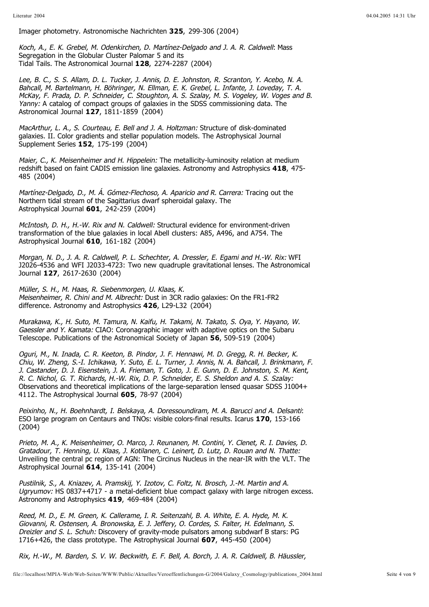Imager photometry. Astronomische Nachrichten 325, 299-306 (2004)

Koch, A., E. K. Grebel, M. Odenkirchen, D. Martínez-Delgado and J. A. R. Caldwell: Mass Segregation in the Globular Cluster Palomar 5 and its Tidal Tails. The Astronomical Journal , 2274-2287 (2004) **128**

Yanny: A catalog of compact groups of galaxies in the SDSS commissioning data. The Astronomical Journal 127, 1811-1859 (2004) Lee, B. C., S. S. Allam, D. L. Tucker, J. Annis, D. E. Johnston, R. Scranton, Y. Acebo, N. A. Bahcall, M. Bartelmann, H. Böhringer, N. Ellman, E. K. Grebel, L. Infante, J. Loveday, T. A. McKay, F. Prada, D. P. Schneider, C. Stoughton, A. S. Szalay, M. S. Vogeley, W. Voges and B.

MacArthur, L. A., S. Courteau, E. Bell and J. A. Holtzman: Structure of disk-dominated galaxies. II. Color gradients and stellar population models. The Astrophysical Journal Supplement Series **152**, 175-199 (2004)

Maier, C., K. Meisenheimer and H. Hippelein: The metallicity-luminosity relation at medium redshift based on faint CADIS emission line galaxies. Astronomy and Astrophysics 418, 475-485 (2004)

Martínez-Delgado, D., M. Á. Gómez-Flechoso, A. Aparicio and R. Carrera: Tracing out the Northern tidal stream of the Sagittarius dwarf spheroidal galaxy. The Astrophysical Journal **601**, 242-259 (2004)

McIntosh, D. H., H.-W. Rix and N. Caldwell: Structural evidence for environment-driven transformation of the blue galaxies in local Abell clusters: A85, A496, and A754. The Astrophysical Journal **610**, 161-182 (2004)

Morgan, N. D., J. A. R. Caldwell, P. L. Schechter, A. Dressler, E. Egami and H.-W. Rix: WFI J2026-4536 and WFI J2033-4723: Two new quadruple gravitational lenses. The Astronomical Journal 127, 2617-2630 (2004)

Meisenheimer, R. Chini and M. Albrecht: Dust in 3CR radio galaxies: On the FR1-FR2 difference. Astronomy and Astrophysics 426, L29-L32 (2004) Müller, S. H., M. Haas, R. Siebenmorgen, U. Klaas, K.

Gaessler and Y. Kamata: CIAO: Coronagraphic imager with adaptive optics on the Subaru Telescope. Publications of the Astronomical Society of Japan 56, 509-519 (2004) Murakawa, K., H. Suto, M. Tamura, N. Kaifu, H. Takami, N. Takato, S. Oya, Y. Hayano, W.

Observations and theoretical implications of the large-separation lensed quasar SDSS J1004+ 4112. The Astrophysical Journal , 78-97 (2004) **605** Oguri, M., N. Inada, C. R. Keeton, B. Pindor, J. F. Hennawi, M. D. Gregg, R. H. Becker, K. Chiu, W. Zheng, S.-I. Ichikawa, Y. Suto, E. L. Turner, J. Annis, N. A. Bahcall, J. Brinkmann, F. J. Castander, D. J. Eisenstein, J. A. Frieman, T. Goto, J. E. Gunn, D. E. Johnston, S. M. Kent, R. C. Nichol, G. T. Richards, H.-W. Rix, D. P. Schneider, E. S. Sheldon and A. S. Szalay:

: Peixinho, N., H. Boehnhardt, I. Belskaya, A. Doressoundiram, M. A. Barucci and A. Delsanti ESO large program on Centaurs and TNOs: visible colors-final results. Icarus 170, 153-166 (2004)

Unveiling the central pc region of AGN: The Circinus Nucleus in the near-IR with the VLT. The Astrophysical Journal **614**, 135-141 (2004) Prieto, M. A., K. Meisenheimer, O. Marco, J. Reunanen, M. Contini, Y. Clenet, R. I. Davies, D. Gratadour, T. Henning, U. Klaas, J. Kotilanen, C. Leinert, D. Lutz, D. Rouan and N. Thatte:

Ugryumov: HS 0837+4717 - a metal-deficient blue compact galaxy with large nitrogen excess. Astronomy and Astrophysics **419**, 469-484 (2004) Pustilnik, S., A. Kniazev, A. Pramskij, Y. Izotov, C. Foltz, N. Brosch, J.-M. Martin and A.

Dreizler and S. L. Schuh: Discovery of gravity-mode pulsators among subdwarf B stars: PG 1716+426, the class prototype. The Astrophysical Journal 607, 445-450 (2004) Reed, M. D., E. M. Green, K. Callerame, I. R. Seitenzahl, B. A. White, E. A. Hyde, M. K. Giovanni, R. Ostensen, A. Bronowska, E. J. Jeffery, O. Cordes, S. Falter, H. Edelmann, S.

Rix, H.-W., M. Barden, S. V. W. Beckwith, E. F. Bell, A. Borch, J. A. R. Caldwell, B. Häussler,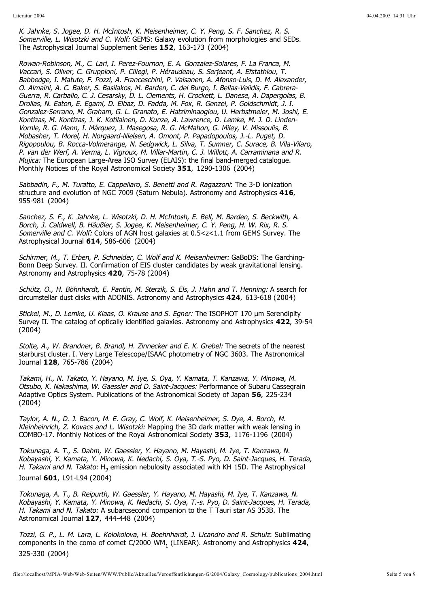Somerville, L. Wisotzki and C. Wolf: GEMS: Galaxy evolution from morphologies and SEDs. The Astrophysical Journal Supplement Series 152, 163-173 (2004) K. Jahnke, S. Jogee, D. H. McIntosh, K. Meisenheimer, C. Y. Peng, S. F. Sanchez, R. S.

Mujica: The European Large-Area ISO Survey (ELAIS): the final band-merged catalogue. Monthly Notices of the Royal Astronomical Society 351, 1290-1306 (2004) Rowan-Robinson, M., C. Lari, I. Perez-Fournon, E. A. Gonzalez-Solares, F. La Franca, M. Vaccari, S. Oliver, C. Gruppioni, P. Ciliegi, P. Héraudeau, S. Serjeant, A. Efstathiou, T. Babbedge, I. Matute, F. Pozzi, A. Franceschini, P. Vaisanen, A. Afonso-Luis, D. M. Alexander, O. Almaini, A. C. Baker, S. Basilakos, M. Barden, C. del Burgo, I. Bellas-Velidis, F. Cabrera-Guerra, R. Carballo, C. J. Cesarsky, D. L. Clements, H. Crockett, L. Danese, A. Dapergolas, B. Drolias, N. Eaton, E. Egami, D. Elbaz, D. Fadda, M. Fox, R. Genzel, P. Goldschmidt, J. I. Gonzalez-Serrano, M. Graham, G. L. Granato, E. Hatziminaoglou, U. Herbstmeier, M. Joshi, E. Kontizas, M. Kontizas, J. K. Kotilainen, D. Kunze, A. Lawrence, D. Lemke, M. J. D. Linden-Vornle, R. G. Mann, I. Márquez, J. Masegosa, R. G. McMahon, G. Miley, V. Missoulis, B. Mobasher, T. Morel, H. Norgaard-Nielsen, A. Omont, P. Papadopoulos, J.-L. Puget, D. Rigopoulou, B. Rocca-Volmerange, N. Sedgwick, L. Silva, T. Sumner, C. Surace, B. Vila-Vilaro, P. van der Werf, A. Verma, L. Vigroux, M. Villar-Martin, C. J. Willott, A. Carraminana and R.

Sabbadin, F., M. Turatto, E. Cappellaro, S. Benetti and R. Ragazzoni: The 3-D ionization structure and evolution of NGC 7009 (Saturn Nebula). Astronomy and Astrophysics 416, 955-981 (2004)

Somerville and C. Wolf: Colors of AGN host galaxies at 0.5<z<1.1 from GEMS Survey. The Astrophysical Journal **614**, 586-606 (2004) Sanchez, S. F., K. Jahnke, L. Wisotzki, D. H. McIntosh, E. Bell, M. Barden, S. Beckwith, A. Borch, J. Caldwell, B. Häußler, S. Jogee, K. Meisenheimer, C. Y. Peng, H. W. Rix, R. S.

Schirmer, M., T. Erben, P. Schneider, C. Wolf and K. Meisenheimer: GaBoDS: The Garching-Bonn Deep Survey. II. Confirmation of EIS cluster candidates by weak gravitational lensing. Astronomy and Astrophysics 420, 75-78 (2004)

Schütz, O., H. Böhnhardt, E. Pantin, M. Sterzik, S. Els, J. Hahn and T. Henning: A search for circumstellar dust disks with ADONIS. Astronomy and Astrophysics 424, 613-618 (2004)

Stickel, M., D. Lemke, U. Klaas, O. Krause and S. Egner: The ISOPHOT 170 µm Serendipity Survey II. The catalog of optically identified galaxies. Astronomy and Astrophysics 422, 39-54 (2004)

Stolte, A., W. Brandner, B. Brandl, H. Zinnecker and E. K. Grebel: The secrets of the nearest starburst cluster. I. Very Large Telescope/ISAAC photometry of NGC 3603. The Astronomical Journal 128, 765-786 (2004)

Otsubo, K. Nakashima, W. Gaessler and D. Saint-Jacques: Performance of Subaru Cassegrain Adaptive Optics System. Publications of the Astronomical Society of Japan 56, 225-234 (2004) Takami, H., N. Takato, Y. Hayano, M. Iye, S. Oya, Y. Kamata, T. Kanzawa, Y. Minowa, M.

Kleinheinrich, Z. Kovacs and L. Wisotzki: Mapping the 3D dark matter with weak lensing in COMBO-17. Monthly Notices of the Royal Astronomical Society , 1176-1196 (2004) **353** Taylor, A. N., D. J. Bacon, M. E. Gray, C. Wolf, K. Meisenheimer, S. Dye, A. Borch, M.

H. Takami and N. Takato: H<sub>2</sub> emission nebulosity associated with KH 15D. The Astrophysical Journal 601, L91-L94 (2004) Tokunaga, A. T., S. Dahm, W. Gaessler, Y. Hayano, M. Hayashi, M. Iye, T. Kanzawa, N. Kobayashi, Y. Kamata, Y. Minowa, K. Nedachi, S. Oya, T.-S. Pyo, D. Saint-Jacques, H. Terada,

H. Takami and N. Takato: A subarcsecond companion to the T Tauri star AS 353B. The Astronomical Journal 127, 444-448 (2004) Tokunaga, A. T., B. Reipurth, W. Gaessler, Y. Hayano, M. Hayashi, M. Iye, T. Kanzawa, N. Kobayashi, Y. Kamata, Y. Minowa, K. Nedachi, S. Oya, T.-s. Pyo, D. Saint-Jacques, H. Terada,

Tozzi, G. P., L. M. Lara, L. Kolokolova, H. Boehnhardt, J. Licandro and R. Schulz: Sublimating components in the coma of comet C/2000 WM<sub>1</sub> (LINEAR). Astronomy and Astrophysics 424, 325-330 (2004)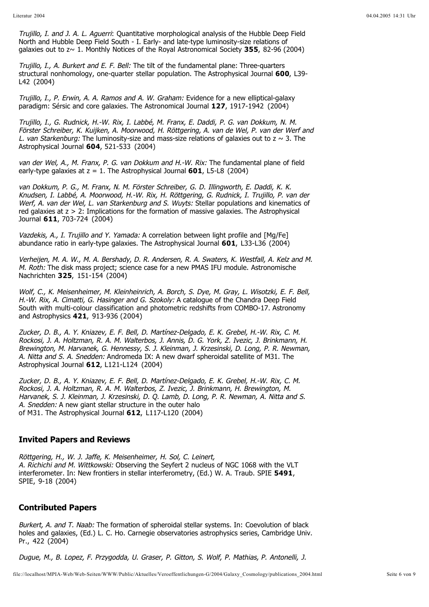Trujillo, I. and J. A. L. Aguerri: Quantitative morphological analysis of the Hubble Deep Field North and Hubble Deep Field South - I. Early- and late-type luminosity-size relations of galaxies out to z~ 1. Monthly Notices of the Royal Astronomical Society 355, 82-96 (2004)

Trujillo, I., A. Burkert and E. F. Bell: The tilt of the fundamental plane: Three-quarters structural nonhomology, one-quarter stellar population. The Astrophysical Journal 600, L39-L42 (2004)

Trujillo, I., P. Erwin, A. A. Ramos and A. W. Graham: Evidence for a new elliptical-galaxy paradigm: Sérsic and core galaxies. The Astronomical Journal 127, 1917-1942 (2004)

L. van Starkenburg: The luminosity-size and mass-size relations of galaxies out to z  $\sim$  3. The Astrophysical Journal 604, 521-533 (2004) Trujillo, I., G. Rudnick, H.-W. Rix, I. Labbé, M. Franx, E. Daddi, P. G. van Dokkum, N. M. Förster Schreiber, K. Kuijken, A. Moorwood, H. Röttgering, A. van de Wel, P. van der Werf and

van der Wel, A., M. Franx, P. G. van Dokkum and H.-W. Rix: The fundamental plane of field early-type galaxies at z = 1. The Astrophysical Journal **601**, L5-L8 (2004)

Werf, A. van der Wel, L. van Starkenburg and S. Wuyts: Stellar populations and kinematics of red galaxies at  $z > 2$ : Implications for the formation of massive galaxies. The Astrophysical Journal 611, 703-724 (2004) van Dokkum, P. G., M. Franx, N. M. Förster Schreiber, G. D. Illingworth, E. Daddi, K. K. Knudsen, I. Labbé, A. Moorwood, H.-W. Rix, H. Röttgering, G. Rudnick, I. Trujillo, P. van der

Vazdekis, A., I. Trujillo and Y. Yamada: A correlation between light profile and [Mg/Fe] abundance ratio in early-type galaxies. The Astrophysical Journal **601**, L33-L36 (2004)

M. Roth: The disk mass project; science case for a new PMAS IFU module. Astronomische Nachrichten , 151-154 (2004) **325** Verheijen, M. A. W., M. A. Bershady, D. R. Andersen, R. A. Swaters, K. Westfall, A. Kelz and M.

H.-W. Rix, A. Cimatti, G. Hasinger and G. Szokoly: A catalogue of the Chandra Deep Field South with multi-colour classification and photometric redshifts from COMBO-17. Astronomy and Astrophysics **421**, 913-936 (2004) Wolf, C., K. Meisenheimer, M. Kleinheinrich, A. Borch, S. Dye, M. Gray, L. Wisotzki, E. F. Bell,

A. Nitta and S. A. Snedden: Andromeda IX: A new dwarf spheroidal satellite of M31. The Astrophysical Journal **612**, L121-L124 (2004) Zucker, D. B., A. Y. Kniazev, E. F. Bell, D. Martínez-Delgado, E. K. Grebel, H.-W. Rix, C. M. Rockosi, J. A. Holtzman, R. A. M. Walterbos, J. Annis, D. G. York, Z. Ivezic, J. Brinkmann, H. Brewington, M. Harvanek, G. Hennessy, S. J. Kleinman, J. Krzesinski, D. Long, P. R. Newman,

A. Snedden: A new giant stellar structure in the outer halo of M31. The Astrophysical Journal **612**, L117-L120 (2004) Zucker, D. B., A. Y. Kniazev, E. F. Bell, D. Martínez-Delgado, E. K. Grebel, H.-W. Rix, C. M. Rockosi, J. A. Holtzman, R. A. M. Walterbos, Z. Ivezic, J. Brinkmann, H. Brewington, M. Harvanek, S. J. Kleinman, J. Krzesinski, D. Q. Lamb, D. Long, P. R. Newman, A. Nitta and S.

## **Invited Papers and Reviews**

A. Richichi and M. Wittkowski: Observing the Seyfert 2 nucleus of NGC 1068 with the VLT interferometer. In: New frontiers in stellar interferometry, (Ed.) W. A. Traub. SPIE **5491**, Röttgering, H., W. J. Jaffe, K. Meisenheimer, H. Sol, C. Leinert, SPIE, 9-18 (2004)

## **Contributed Papers**

Burkert, A. and T. Naab: The formation of spheroidal stellar systems. In: Coevolution of black holes and galaxies, (Ed.) L. C. Ho. Carnegie observatories astrophysics series, Cambridge Univ. Pr., 422 (2004)

Dugue, M., B. Lopez, F. Przygodda, U. Graser, P. Gitton, S. Wolf, P. Mathias, P. Antonelli, J.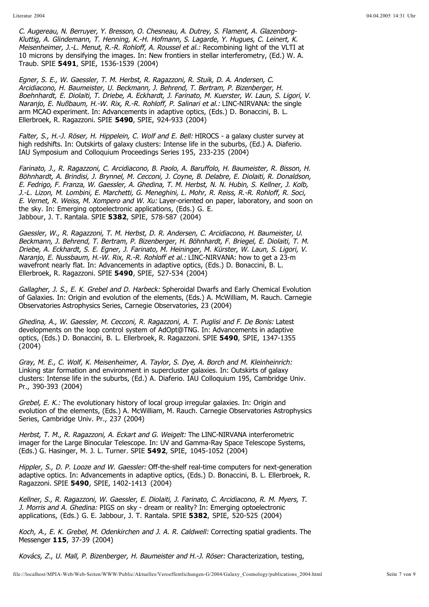Meisenheimer, J.-L. Menut, R.-R. Rohloff, A. Roussel et al.: Recombining light of the VLTI at 10 microns by densifying the images. In: New frontiers in stellar interferometry, (Ed.) W. A. Traub. SPIE , SPIE, 1536-1539 (2004) **5491** C. Augereau, N. Berruyer, Y. Bresson, O. Chesneau, A. Dutrey, S. Flament, A. Glazenborg-Kluttig, A. Glindemann, T. Henning, K.-H. Hofmann, S. Lagarde, Y. Hugues, C. Leinert, K.

Naranjo, E. Nußbaum, H.-W. Rix, R.-R. Rohloff, P. Salinari et al.: LINC-NIRVANA: the single arm MCAO experiment. In: Advancements in adaptive optics, (Eds.) D. Bonaccini, B. L. Ellerbroek, R. Ragazzoni. SPIE **5490**, SPIE, 924-933 (2004) Egner, S. E., W. Gaessler, T. M. Herbst, R. Ragazzoni, R. Stuik, D. A. Andersen, C. Arcidiacono, H. Baumeister, U. Beckmann, J. Behrend, T. Bertram, P. Bizenberger, H. Boehnhardt, E. Diolaiti, T. Driebe, A. Eckhardt, J. Farinato, M. Kuerster, W. Laun, S. Ligori, V.

Falter, S., H.-J. Röser, H. Hippelein, C. Wolf and E. Bell: HIROCS - a galaxy cluster survey at high redshifts. In: Outskirts of galaxy clusters: Intense life in the suburbs, (Ed.) A. Diaferio. IAU Symposium and Colloquium Proceedings Series 195, 233-235 (2004)

E. Vernet, R. Weiss, M. Xompero and W. Xu: Layer-oriented on paper, laboratory, and soon on the sky. In: Emerging optoelectronic applications, (Eds.) G. E. Jabbour, J. T. Rantala. SPIE 5382, SPIE, 578-587 (2004) Farinato, J., R. Ragazzoni, C. Arcidiacono, B. Paolo, A. Baruffolo, H. Baumeister, R. Bisson, H. Böhnhardt, A. Brindisi, J. Brynnel, M. Cecconi, J. Coyne, B. Delabre, E. Diolaiti, R. Donaldson, E. Fedrigo, F. Franza, W. Gaessler, A. Ghedina, T. M. Herbst, N. N. Hubin, S. Kellner, J. Kolb, J.-L. Lizon, M. Lombini, E. Marchetti, G. Meneghini, L. Mohr, R. Reiss, R.-R. Rohloff, R. Soci,

Naranjo, E. Nussbaum, H.-W. Rix, R.-R. Rohloff et al.: LINC-NIRVANA: how to get a 23-m wavefront nearly flat. In: Advancements in adaptive optics, (Eds.) D. Bonaccini, B. L. Ellerbroek, R. Ragazzoni. SPIE **5490**, SPIE, 527-534 (2004) Gaessler, W., R. Ragazzoni, T. M. Herbst, D. R. Andersen, C. Arcidiacono, H. Baumeister, U. Beckmann, J. Behrend, T. Bertram, P. Bizenberger, H. Böhnhardt, F. Briegel, E. Diolaiti, T. M. Driebe, A. Eckhardt, S. E. Egner, J. Farinato, M. Heininger, M. Kürster, W. Laun, S. Ligori, V.

Gallagher, J. S., E. K. Grebel and D. Harbeck: Spheroidal Dwarfs and Early Chemical Evolution of Galaxies. In: Origin and evolution of the elements, (Eds.) A. McWilliam, M. Rauch. Carnegie Observatories Astrophysics Series, Carnegie Observatories, 23 (2004)

Ghedina, A., W. Gaessler, M. Cecconi, R. Ragazzoni, A. T. Puglisi and F. De Bonis: Latest developments on the loop control system of AdOpt@TNG. In: Advancements in adaptive optics, (Eds.) D. Bonaccini, B. L. Ellerbroek, R. Ragazzoni. SPIE 5490, SPIE, 1347-1355 (2004)

Linking star formation and environment in supercluster galaxies. In: Outskirts of galaxy clusters: Intense life in the suburbs, (Ed.) A. Diaferio. IAU Colloquium 195, Cambridge Univ. Pr., 390-393 (2004) Gray, M. E., C. Wolf, K. Meisenheimer, A. Taylor, S. Dye, A. Borch and M. Kleinheinrich:

Grebel, E. K.: The evolutionary history of local group irregular galaxies. In: Origin and evolution of the elements, (Eds.) A. McWilliam, M. Rauch. Carnegie Observatories Astrophysics Series, Cambridge Univ. Pr., 237 (2004)

Herbst, T. M., R. Ragazzoni, A. Eckart and G. Weigelt: The LINC-NIRVANA interferometric imager for the Large Binocular Telescope. In: UV and Gamma-Ray Space Telescope Systems, (Eds.) G. Hasinger, M. J. L. Turner. SPIE 5492, SPIE, 1045-1052 (2004)

Hippler, S., D. P. Looze and W. Gaessler: Off-the-shelf real-time computers for next-generation adaptive optics. In: Advancements in adaptive optics, (Eds.) D. Bonaccini, B. L. Ellerbroek, R. Ragazzoni. SPIE **5490**, SPIE, 1402-1413 (2004)

J. Morris and A. Ghedina: PIGS on sky - dream or reality? In: Emerging optoelectronic applications, (Eds.) G. E. Jabbour, J. T. Rantala. SPIE **5382**, SPIE, 520-525 (2004) Kellner, S., R. Ragazzoni, W. Gaessler, E. Diolaiti, J. Farinato, C. Arcidiacono, R. M. Myers, T.

Koch, A., E. K. Grebel, M. Odenkirchen and J. A. R. Caldwell: Correcting spatial gradients. The Messenger **115**, 37-39 (2004)

Kovács, Z., U. Mall, P. Bizenberger, H. Baumeister and H.-J. Röser: Characterization, testing,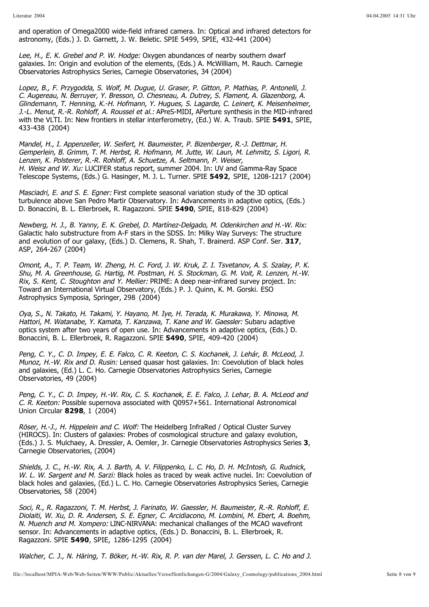and operation of Omega2000 wide-field infrared camera. In: Optical and infrared detectors for astronomy, (Eds.) J. D. Garnett, J. W. Beletic. SPIE 5499, SPIE, 432-441 (2004)

Lee, H., E. K. Grebel and P. W. Hodge: Oxygen abundances of nearby southern dwarf galaxies. In: Origin and evolution of the elements, (Eds.) A. McWilliam, M. Rauch. Carnegie Observatories Astrophysics Series, Carnegie Observatories, 34 (2004)

J.-L. Menut, R.-R. Rohloff, A. Roussel et al.: APreS-MIDI, APerture synthesis in the MID-infrared with the VLTI. In: New frontiers in stellar interferometry, (Ed.) W. A. Traub. SPIE 5491, SPIE, 433-438 (2004) Lopez, B., F. Przygodda, S. Wolf, M. Dugue, U. Graser, P. Gitton, P. Mathias, P. Antonelli, J. C. Augereau, N. Berruyer, Y. Bresson, O. Chesneau, A. Dutrey, S. Flament, A. Glazenborg, A. Glindemann, T. Henning, K.-H. Hofmann, Y. Hugues, S. Lagarde, C. Leinert, K. Meisenheimer,

H. Weisz and W. Xu: LUCIFER status report, summer 2004. In: UV and Gamma-Ray Space Telescope Systems, (Eds.) G. Hasinger, M. J. L. Turner. SPIE **5492**, SPIE, 1208-1217 (2004) Mandel, H., I. Appenzeller, W. Seifert, H. Baumeister, P. Bizenberger, R.-J. Dettmar, H. Gemperlein, B. Grimm, T. M. Herbst, R. Hofmann, M. Jutte, W. Laun, M. Lehmitz, S. Ligori, R. Lenzen, K. Polsterer, R.-R. Rohloff, A. Schuetze, A. Seltmann, P. Weiser,

Masciadri, E. and S. E. Egner: First complete seasonal variation study of the 3D optical turbulence above San Pedro Martir Observatory. In: Advancements in adaptive optics, (Eds.) D. Bonaccini, B. L. Ellerbroek, R. Ragazzoni. SPIE 5490, SPIE, 818-829 (2004)

Galactic halo substructure from A-F stars in the SDSS. In: Milky Way Surveys: The structure and evolution of our galaxy, (Eds.) D. Clemens, R. Shah, T. Brainerd. ASP Conf. Ser. **317**, Newberg, H. J., B. Yanny, E. K. Grebel, D. Martínez-Delgado, M. Odenkirchen and H.-W. Rix: ASP, 264-267 (2004)

Rix, S. Kent, C. Stoughton and Y. Mellier: PRIME: A deep near-infrared survey project. In: Toward an International Virtual Observatory, (Eds.) P. J. Quinn, K. M. Gorski. ESO Astrophysics Symposia, Springer, 298 (2004) Omont, A., T. P. Team, W. Zheng, H. C. Ford, J. W. Kruk, Z. I. Tsvetanov, A. S. Szalay, P. K. Shu, M. A. Greenhouse, G. Hartig, M. Postman, H. S. Stockman, G. M. Voit, R. Lenzen, H.-W.

Hattori, M. Watanabe, Y. Kamata, T. Kanzawa, T. Kane and W. Gaessler: Subaru adaptive optics system after two years of open use. In: Advancements in adaptive optics, (Eds.) D. Bonaccini, B. L. Ellerbroek, R. Ragazzoni. SPIE **5490**, SPIE, 409-420 (2004) Oya, S., N. Takato, H. Takami, Y. Hayano, M. Iye, H. Terada, K. Murakawa, Y. Minowa, M.

Munoz, H.-W. Rix and D. Rusin: Lensed quasar host galaxies. In: Coevolution of black holes and galaxies, (Ed.) L. C. Ho. Carnegie Observatories Astrophysics Series, Carnegie Observatories, 49 (2004) Peng, C. Y., C. D. Impey, E. E. Falco, C. R. Keeton, C. S. Kochanek, J. Lehár, B. McLeod, J.

C. R. Keeton: Possible supernova associated with Q0957+561. International Astronomical Union Circular **8298**, 1 (2004) Peng, C. Y., C. D. Impey, H.-W. Rix, C. S. Kochanek, E. E. Falco, J. Lehar, B. A. McLeod and

Röser, H.-J., H. Hippelein and C. Wolf: The Heidelberg InfraRed / Optical Cluster Survey (HIROCS). In: Clusters of galaxies: Probes of cosmological structure and galaxy evolution, (Eds.) J. S. Mulchaey, A. Dressler, A. Oemler, Jr. Carnegie Observatories Astrophysics Series 3, Carnegie Observatories, (2004)

W. L. W. Sargent and M. Sarzi: Black holes as traced by weak active nuclei. In: Coevolution of black holes and galaxies, (Ed.) L. C. Ho. Carnegie Observatories Astrophysics Series, Carnegie Observatories, 58 (2004) Shields, J. C., H.-W. Rix, A. J. Barth, A. V. Filippenko, L. C. Ho, D. H. McIntosh, G. Rudnick,

N. Muench and M. Xompero: LINC-NIRVANA: mechanical challanges of the MCAO wavefront sensor. In: Advancements in adaptive optics, (Eds.) D. Bonaccini, B. L. Ellerbroek, R. Ragazzoni. SPIE **5490**, SPIE, 1286-1295 (2004) Soci, R., R. Ragazzoni, T. M. Herbst, J. Farinato, W. Gaessler, H. Baumeister, R.-R. Rohloff, E. Diolaiti, W. Xu, D. R. Andersen, S. E. Egner, C. Arcidiacono, M. Lombini, M. Ebert, A. Boehm,

Walcher, C. J., N. Häring, T. Böker, H.-W. Rix, R. P. van der Marel, J. Gerssen, L. C. Ho and J.